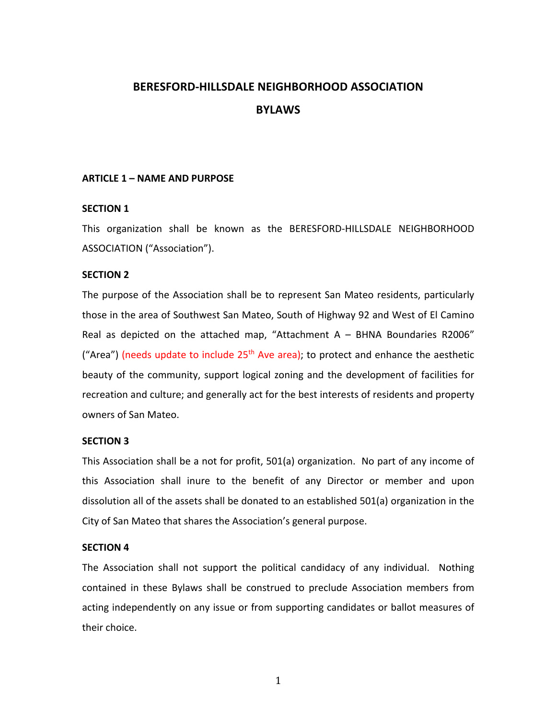# **BERESFORD-HILLSDALE NEIGHBORHOOD ASSOCIATION BYLAWS**

# **ARTICLE 1 – NAME AND PURPOSE**

# **SECTION 1**

This organization shall be known as the BERESFORD-HILLSDALE NEIGHBORHOOD ASSOCIATION ("Association").

# **SECTION 2**

The purpose of the Association shall be to represent San Mateo residents, particularly those in the area of Southwest San Mateo, South of Highway 92 and West of El Camino Real as depicted on the attached map, "Attachment  $A - B H N A$  Boundaries R2006" ("Area") (needs update to include  $25<sup>th</sup>$  Ave area); to protect and enhance the aesthetic beauty of the community, support logical zoning and the development of facilities for recreation and culture; and generally act for the best interests of residents and property owners of San Mateo.

# **SECTION 3**

This Association shall be a not for profit, 501(a) organization. No part of any income of this Association shall inure to the benefit of any Director or member and upon dissolution all of the assets shall be donated to an established 501(a) organization in the City of San Mateo that shares the Association's general purpose.

# **SECTION 4**

The Association shall not support the political candidacy of any individual. Nothing contained in these Bylaws shall be construed to preclude Association members from acting independently on any issue or from supporting candidates or ballot measures of their choice.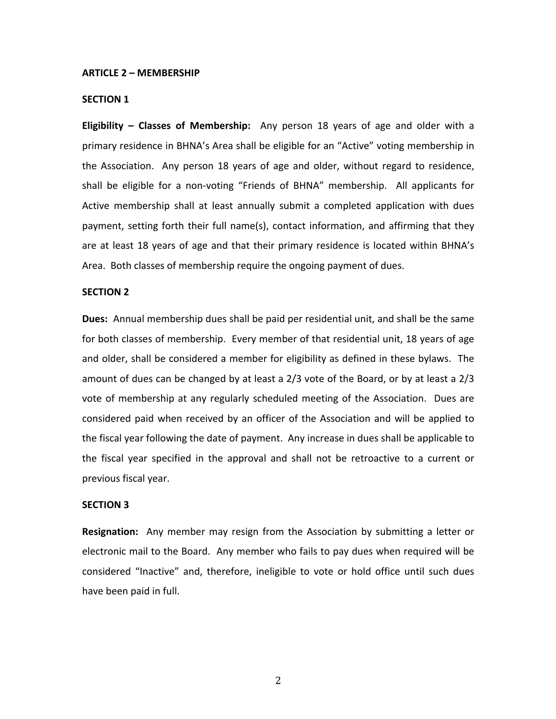#### **ARTICLE 2 – MEMBERSHIP**

#### **SECTION 1**

**Eligibility – Classes of Membership:** Any person 18 years of age and older with a primary residence in BHNA's Area shall be eligible for an "Active" voting membership in the Association. Any person 18 years of age and older, without regard to residence, shall be eligible for a non-voting "Friends of BHNA" membership. All applicants for Active membership shall at least annually submit a completed application with dues payment, setting forth their full name(s), contact information, and affirming that they are at least 18 years of age and that their primary residence is located within BHNA's Area. Both classes of membership require the ongoing payment of dues.

#### **SECTION 2**

**Dues:** Annual membership dues shall be paid per residential unit, and shall be the same for both classes of membership. Every member of that residential unit, 18 years of age and older, shall be considered a member for eligibility as defined in these bylaws. The amount of dues can be changed by at least a 2/3 vote of the Board, or by at least a 2/3 vote of membership at any regularly scheduled meeting of the Association. Dues are considered paid when received by an officer of the Association and will be applied to the fiscal year following the date of payment. Any increase in dues shall be applicable to the fiscal year specified in the approval and shall not be retroactive to a current or previous fiscal year.

#### **SECTION 3**

**Resignation:** Any member may resign from the Association by submitting a letter or electronic mail to the Board. Any member who fails to pay dues when required will be considered "Inactive" and, therefore, ineligible to vote or hold office until such dues have been paid in full.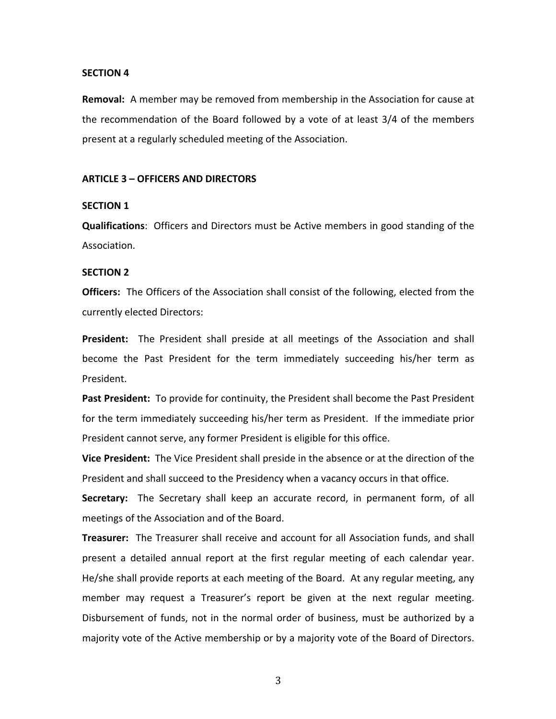#### **SECTION 4**

**Removal:** A member may be removed from membership in the Association for cause at the recommendation of the Board followed by a vote of at least 3/4 of the members present at a regularly scheduled meeting of the Association.

## **ARTICLE 3 – OFFICERS AND DIRECTORS**

#### **SECTION 1**

**Qualifications**: Officers and Directors must be Active members in good standing of the Association.

## **SECTION 2**

**Officers:** The Officers of the Association shall consist of the following, elected from the currently elected Directors:

**President:** The President shall preside at all meetings of the Association and shall become the Past President for the term immediately succeeding his/her term as President.

**Past President:** To provide for continuity, the President shall become the Past President for the term immediately succeeding his/her term as President. If the immediate prior President cannot serve, any former President is eligible for this office.

**Vice President:** The Vice President shall preside in the absence or at the direction of the President and shall succeed to the Presidency when a vacancy occurs in that office.

**Secretary:** The Secretary shall keep an accurate record, in permanent form, of all meetings of the Association and of the Board.

**Treasurer:** The Treasurer shall receive and account for all Association funds, and shall present a detailed annual report at the first regular meeting of each calendar year. He/she shall provide reports at each meeting of the Board. At any regular meeting, any member may request a Treasurer's report be given at the next regular meeting. Disbursement of funds, not in the normal order of business, must be authorized by a majority vote of the Active membership or by a majority vote of the Board of Directors.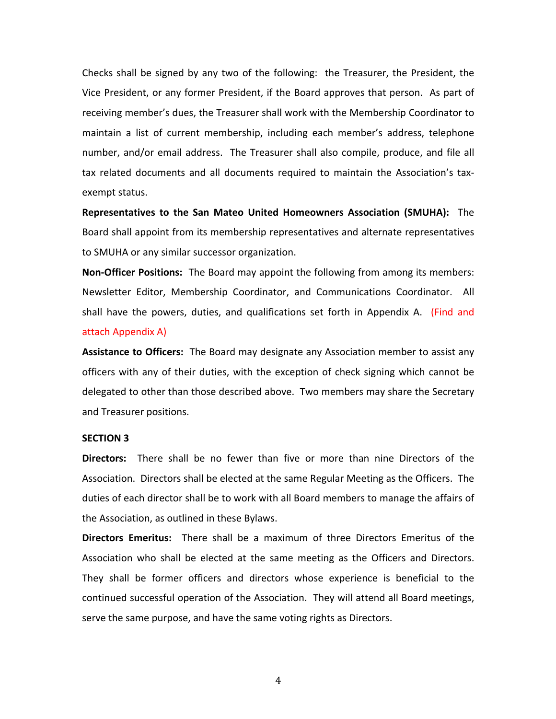Checks shall be signed by any two of the following: the Treasurer, the President, the Vice President, or any former President, if the Board approves that person. As part of receiving member's dues, the Treasurer shall work with the Membership Coordinator to maintain a list of current membership, including each member's address, telephone number, and/or email address. The Treasurer shall also compile, produce, and file all tax related documents and all documents required to maintain the Association's taxexempt status.

**Representatives to the San Mateo United Homeowners Association (SMUHA):** The Board shall appoint from its membership representatives and alternate representatives to SMUHA or any similar successor organization.

**Non-Officer Positions:** The Board may appoint the following from among its members: Newsletter Editor, Membership Coordinator, and Communications Coordinator. All shall have the powers, duties, and qualifications set forth in Appendix A. (Find and attach Appendix A)

**Assistance to Officers:** The Board may designate any Association member to assist any officers with any of their duties, with the exception of check signing which cannot be delegated to other than those described above. Two members may share the Secretary and Treasurer positions.

#### **SECTION 3**

**Directors:** There shall be no fewer than five or more than nine Directors of the Association. Directors shall be elected at the same Regular Meeting as the Officers. The duties of each director shall be to work with all Board members to manage the affairs of the Association, as outlined in these Bylaws.

**Directors Emeritus:** There shall be a maximum of three Directors Emeritus of the Association who shall be elected at the same meeting as the Officers and Directors. They shall be former officers and directors whose experience is beneficial to the continued successful operation of the Association. They will attend all Board meetings, serve the same purpose, and have the same voting rights as Directors.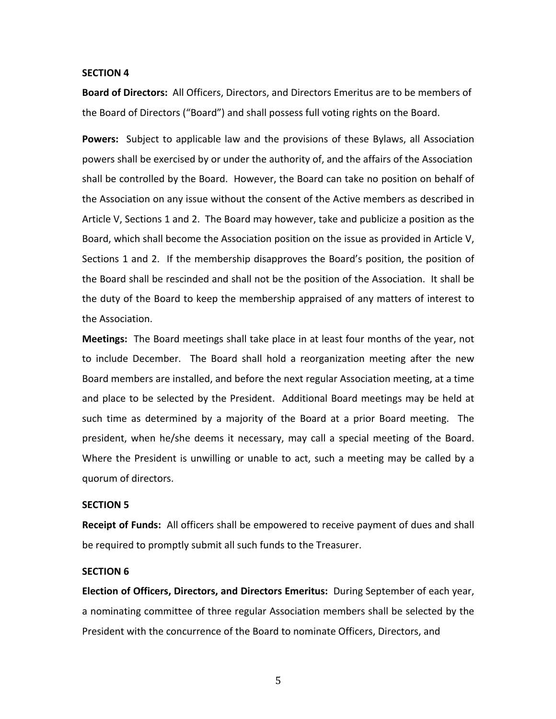#### **SECTION 4**

**Board of Directors:** All Officers, Directors, and Directors Emeritus are to be members of the Board of Directors ("Board") and shall possess full voting rights on the Board.

**Powers:** Subject to applicable law and the provisions of these Bylaws, all Association powers shall be exercised by or under the authority of, and the affairs of the Association shall be controlled by the Board. However, the Board can take no position on behalf of the Association on any issue without the consent of the Active members as described in Article V, Sections 1 and 2. The Board may however, take and publicize a position as the Board, which shall become the Association position on the issue as provided in Article V, Sections 1 and 2. If the membership disapproves the Board's position, the position of the Board shall be rescinded and shall not be the position of the Association. It shall be the duty of the Board to keep the membership appraised of any matters of interest to the Association.

**Meetings:** The Board meetings shall take place in at least four months of the year, not to include December. The Board shall hold a reorganization meeting after the new Board members are installed, and before the next regular Association meeting, at a time and place to be selected by the President. Additional Board meetings may be held at such time as determined by a majority of the Board at a prior Board meeting. The president, when he/she deems it necessary, may call a special meeting of the Board. Where the President is unwilling or unable to act, such a meeting may be called by a quorum of directors.

#### **SECTION 5**

**Receipt of Funds:** All officers shall be empowered to receive payment of dues and shall be required to promptly submit all such funds to the Treasurer.

# **SECTION 6**

**Election of Officers, Directors, and Directors Emeritus:** During September of each year, a nominating committee of three regular Association members shall be selected by the President with the concurrence of the Board to nominate Officers, Directors, and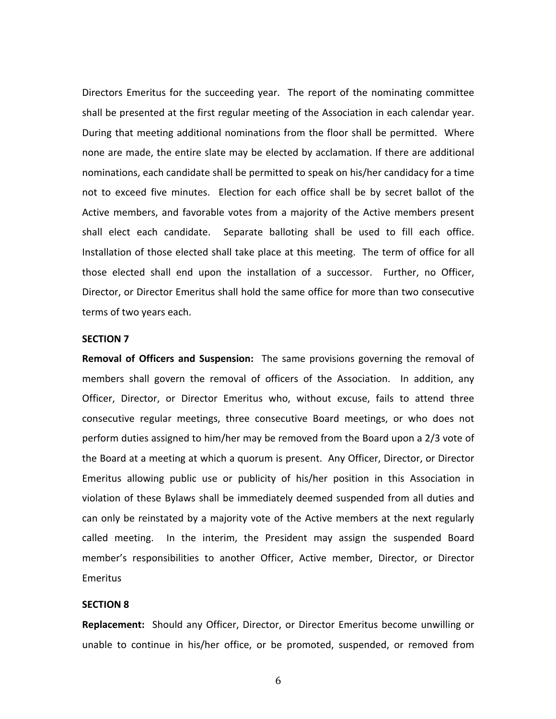Directors Emeritus for the succeeding year. The report of the nominating committee shall be presented at the first regular meeting of the Association in each calendar year. During that meeting additional nominations from the floor shall be permitted. Where none are made, the entire slate may be elected by acclamation. If there are additional nominations, each candidate shall be permitted to speak on his/her candidacy for a time not to exceed five minutes. Election for each office shall be by secret ballot of the Active members, and favorable votes from a majority of the Active members present shall elect each candidate. Separate balloting shall be used to fill each office. Installation of those elected shall take place at this meeting. The term of office for all those elected shall end upon the installation of a successor. Further, no Officer, Director, or Director Emeritus shall hold the same office for more than two consecutive terms of two years each.

### **SECTION 7**

**Removal of Officers and Suspension:** The same provisions governing the removal of members shall govern the removal of officers of the Association. In addition, any Officer, Director, or Director Emeritus who, without excuse, fails to attend three consecutive regular meetings, three consecutive Board meetings, or who does not perform duties assigned to him/her may be removed from the Board upon a 2/3 vote of the Board at a meeting at which a quorum is present. Any Officer, Director, or Director Emeritus allowing public use or publicity of his/her position in this Association in violation of these Bylaws shall be immediately deemed suspended from all duties and can only be reinstated by a majority vote of the Active members at the next regularly called meeting. In the interim, the President may assign the suspended Board member's responsibilities to another Officer, Active member, Director, or Director Emeritus

#### **SECTION 8**

**Replacement:** Should any Officer, Director, or Director Emeritus become unwilling or unable to continue in his/her office, or be promoted, suspended, or removed from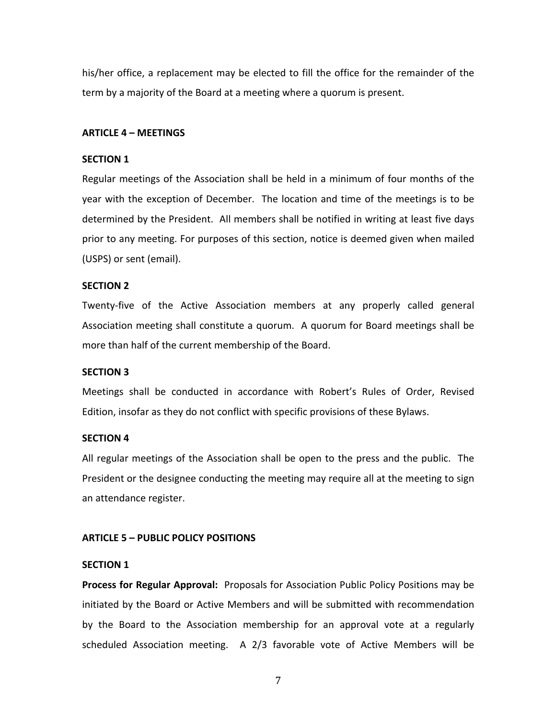his/her office, a replacement may be elected to fill the office for the remainder of the term by a majority of the Board at a meeting where a quorum is present.

## **ARTICLE 4 – MEETINGS**

## **SECTION 1**

Regular meetings of the Association shall be held in a minimum of four months of the year with the exception of December. The location and time of the meetings is to be determined by the President. All members shall be notified in writing at least five days prior to any meeting. For purposes of this section, notice is deemed given when mailed (USPS) or sent (email).

## **SECTION 2**

Twenty-five of the Active Association members at any properly called general Association meeting shall constitute a quorum. A quorum for Board meetings shall be more than half of the current membership of the Board.

#### **SECTION 3**

Meetings shall be conducted in accordance with Robert's Rules of Order, Revised Edition, insofar as they do not conflict with specific provisions of these Bylaws.

#### **SECTION 4**

All regular meetings of the Association shall be open to the press and the public. The President or the designee conducting the meeting may require all at the meeting to sign an attendance register.

## **ARTICLE 5 – PUBLIC POLICY POSITIONS**

# **SECTION 1**

**Process for Regular Approval:** Proposals for Association Public Policy Positions may be initiated by the Board or Active Members and will be submitted with recommendation by the Board to the Association membership for an approval vote at a regularly scheduled Association meeting. A 2/3 favorable vote of Active Members will be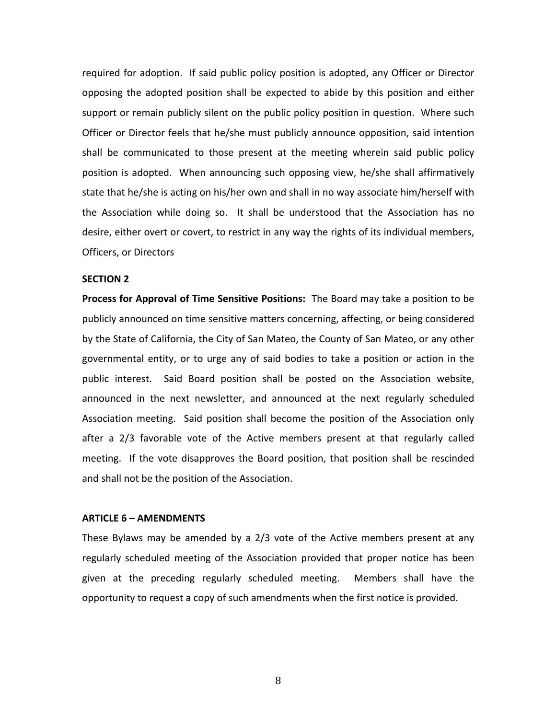required for adoption. If said public policy position is adopted, any Officer or Director opposing the adopted position shall be expected to abide by this position and either support or remain publicly silent on the public policy position in question. Where such Officer or Director feels that he/she must publicly announce opposition, said intention shall be communicated to those present at the meeting wherein said public policy position is adopted. When announcing such opposing view, he/she shall affirmatively state that he/she is acting on his/her own and shall in no way associate him/herself with the Association while doing so. It shall be understood that the Association has no desire, either overt or covert, to restrict in any way the rights of its individual members, Officers, or Directors

## **SECTION 2**

**Process for Approval of Time Sensitive Positions:** The Board may take a position to be publicly announced on time sensitive matters concerning, affecting, or being considered by the State of California, the City of San Mateo, the County of San Mateo, or any other governmental entity, or to urge any of said bodies to take a position or action in the public interest. Said Board position shall be posted on the Association website, announced in the next newsletter, and announced at the next regularly scheduled Association meeting. Said position shall become the position of the Association only after a 2/3 favorable vote of the Active members present at that regularly called meeting. If the vote disapproves the Board position, that position shall be rescinded and shall not be the position of the Association.

#### **ARTICLE 6 – AMENDMENTS**

These Bylaws may be amended by a 2/3 vote of the Active members present at any regularly scheduled meeting of the Association provided that proper notice has been given at the preceding regularly scheduled meeting. Members shall have the opportunity to request a copy of such amendments when the first notice is provided.